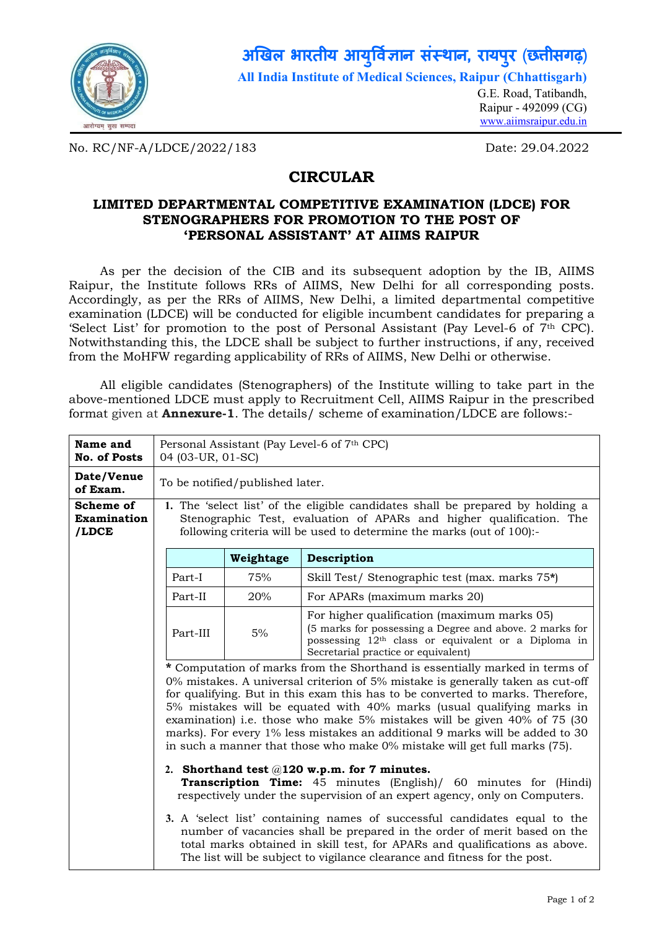

#### **अखल भारतीय आय वान संथान, रायपरु** (**छीसगढ़**) **ु**

**All India Institute of Medical Sciences, Raipur (Chhattisgarh)**

G.E. Road, Tatibandh, Raipur - 492099 (CG) www.aiimsraipur.edu.in

No. RC/NF-A/LDCE/2022/183 Date: 29.04.2022

# **CIRCULAR**

### **LIMITED DEPARTMENTAL COMPETITIVE EXAMINATION (LDCE) FOR STENOGRAPHERS FOR PROMOTION TO THE POST OF 'PERSONAL ASSISTANT' AT AIIMS RAIPUR**

As per the decision of the CIB and its subsequent adoption by the IB, AIIMS Raipur, the Institute follows RRs of AIIMS, New Delhi for all corresponding posts. Accordingly, as per the RRs of AIIMS, New Delhi, a limited departmental competitive examination (LDCE) will be conducted for eligible incumbent candidates for preparing a 'Select List' for promotion to the post of Personal Assistant (Pay Level-6 of 7th CPC). Notwithstanding this, the LDCE shall be subject to further instructions, if any, received from the MoHFW regarding applicability of RRs of AIIMS, New Delhi or otherwise.

All eligible candidates (Stenographers) of the Institute willing to take part in the above-mentioned LDCE must apply to Recruitment Cell, AIIMS Raipur in the prescribed format given at **Annexure-1**. The details/ scheme of examination/LDCE are follows:-

| Name and<br><b>No. of Posts</b>                                                                                                                                                                                                                                                                                                                                                                                                                                                                                                                                         | Personal Assistant (Pay Level-6 of 7th CPC)<br>04 (03-UR, 01-SC)                                                                                                                                                                                                                                                                                                                                                                                                                                                            |                                                                                                                                                                                                                                 |                                                |  |
|-------------------------------------------------------------------------------------------------------------------------------------------------------------------------------------------------------------------------------------------------------------------------------------------------------------------------------------------------------------------------------------------------------------------------------------------------------------------------------------------------------------------------------------------------------------------------|-----------------------------------------------------------------------------------------------------------------------------------------------------------------------------------------------------------------------------------------------------------------------------------------------------------------------------------------------------------------------------------------------------------------------------------------------------------------------------------------------------------------------------|---------------------------------------------------------------------------------------------------------------------------------------------------------------------------------------------------------------------------------|------------------------------------------------|--|
| Date/Venue<br>of Exam.                                                                                                                                                                                                                                                                                                                                                                                                                                                                                                                                                  |                                                                                                                                                                                                                                                                                                                                                                                                                                                                                                                             | To be notified/published later.                                                                                                                                                                                                 |                                                |  |
| Scheme of<br>Examination<br>/LDCE                                                                                                                                                                                                                                                                                                                                                                                                                                                                                                                                       |                                                                                                                                                                                                                                                                                                                                                                                                                                                                                                                             | 1. The 'select list' of the eligible candidates shall be prepared by holding a<br>Stenographic Test, evaluation of APARs and higher qualification. The<br>following criteria will be used to determine the marks (out of 100):- |                                                |  |
|                                                                                                                                                                                                                                                                                                                                                                                                                                                                                                                                                                         |                                                                                                                                                                                                                                                                                                                                                                                                                                                                                                                             | Weightage                                                                                                                                                                                                                       | Description                                    |  |
|                                                                                                                                                                                                                                                                                                                                                                                                                                                                                                                                                                         | Part-I                                                                                                                                                                                                                                                                                                                                                                                                                                                                                                                      | 75%                                                                                                                                                                                                                             | Skill Test/ Stenographic test (max. marks 75*) |  |
|                                                                                                                                                                                                                                                                                                                                                                                                                                                                                                                                                                         | Part-II                                                                                                                                                                                                                                                                                                                                                                                                                                                                                                                     | 20%                                                                                                                                                                                                                             | For APARs (maximum marks 20)                   |  |
|                                                                                                                                                                                                                                                                                                                                                                                                                                                                                                                                                                         | For higher qualification (maximum marks 05)<br>(5 marks for possessing a Degree and above. 2 marks for<br>5%<br>Part-III<br>possessing 12 <sup>th</sup> class or equivalent or a Diploma in<br>Secretarial practice or equivalent)                                                                                                                                                                                                                                                                                          |                                                                                                                                                                                                                                 |                                                |  |
| * Computation of marks from the Shorthand is essentially marked in terms of<br>$0\%$ mistakes. A universal criterion of 5% mistake is generally taken as cut-off<br>for qualifying. But in this exam this has to be converted to marks. Therefore,<br>5% mistakes will be equated with 40% marks (usual qualifying marks in<br>examination) i.e. those who make 5% mistakes will be given 40% of 75 (30<br>marks). For every 1% less mistakes an additional 9 marks will be added to 30<br>in such a manner that those who make $0\%$ mistake will get full marks (75). |                                                                                                                                                                                                                                                                                                                                                                                                                                                                                                                             |                                                                                                                                                                                                                                 |                                                |  |
|                                                                                                                                                                                                                                                                                                                                                                                                                                                                                                                                                                         | 2. Shorthand test $@120$ w.p.m. for 7 minutes.<br><b>Transcription Time:</b> 45 minutes (English)/ 60 minutes for (Hindi)<br>respectively under the supervision of an expert agency, only on Computers.<br>3. A 'select list' containing names of successful candidates equal to the<br>number of vacancies shall be prepared in the order of merit based on the<br>total marks obtained in skill test, for APARs and qualifications as above.<br>The list will be subject to vigilance clearance and fitness for the post. |                                                                                                                                                                                                                                 |                                                |  |
|                                                                                                                                                                                                                                                                                                                                                                                                                                                                                                                                                                         |                                                                                                                                                                                                                                                                                                                                                                                                                                                                                                                             |                                                                                                                                                                                                                                 |                                                |  |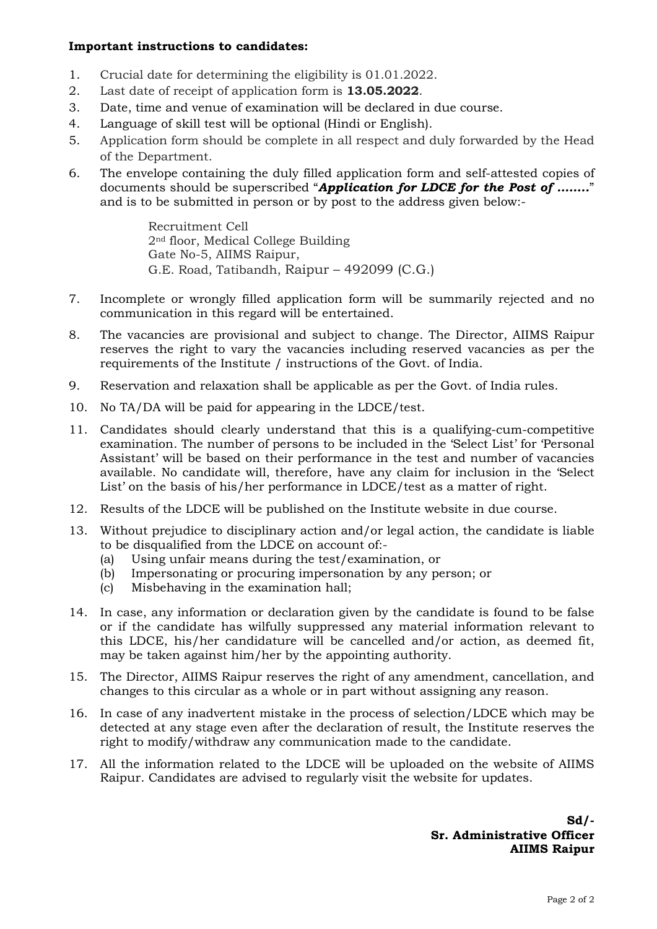### **Important instructions to candidates:**

- 1. Crucial date for determining the eligibility is 01.01.2022.
- 2. Last date of receipt of application form is **13.05.2022**.
- 3. Date, time and venue of examination will be declared in due course.
- 4. Language of skill test will be optional (Hindi or English).
- 5. Application form should be complete in all respect and duly forwarded by the Head of the Department.
- 6. The envelope containing the duly filled application form and self-attested copies of documents should be superscribed "*Application for LDCE for the Post of ……..*" and is to be submitted in person or by post to the address given below:-

Recruitment Cell 2nd floor, Medical College Building Gate No-5, AIIMS Raipur, G.E. Road, Tatibandh, Raipur – 492099 (C.G.)

- 7. Incomplete or wrongly filled application form will be summarily rejected and no communication in this regard will be entertained.
- 8. The vacancies are provisional and subject to change. The Director, AIIMS Raipur reserves the right to vary the vacancies including reserved vacancies as per the requirements of the Institute / instructions of the Govt. of India.
- 9. Reservation and relaxation shall be applicable as per the Govt. of India rules.
- 10. No TA/DA will be paid for appearing in the LDCE/test.
- 11. Candidates should clearly understand that this is a qualifying-cum-competitive examination. The number of persons to be included in the 'Select List' for 'Personal Assistant' will be based on their performance in the test and number of vacancies available. No candidate will, therefore, have any claim for inclusion in the 'Select List' on the basis of his/her performance in LDCE/test as a matter of right.
- 12. Results of the LDCE will be published on the Institute website in due course.
- 13. Without prejudice to disciplinary action and/or legal action, the candidate is liable to be disqualified from the LDCE on account of:-
	- (a) Using unfair means during the test/examination, or
	- (b) Impersonating or procuring impersonation by any person; or
	- (c) Misbehaving in the examination hall;
- 14. In case, any information or declaration given by the candidate is found to be false or if the candidate has wilfully suppressed any material information relevant to this LDCE, his/her candidature will be cancelled and/or action, as deemed fit, may be taken against him/her by the appointing authority.
- 15. The Director, AIIMS Raipur reserves the right of any amendment, cancellation, and changes to this circular as a whole or in part without assigning any reason.
- 16. In case of any inadvertent mistake in the process of selection/LDCE which may be detected at any stage even after the declaration of result, the Institute reserves the right to modify/withdraw any communication made to the candidate.
- 17. All the information related to the LDCE will be uploaded on the website of AIIMS Raipur. Candidates are advised to regularly visit the website for updates.

**Sd/- Sr. Administrative Officer AIIMS Raipur**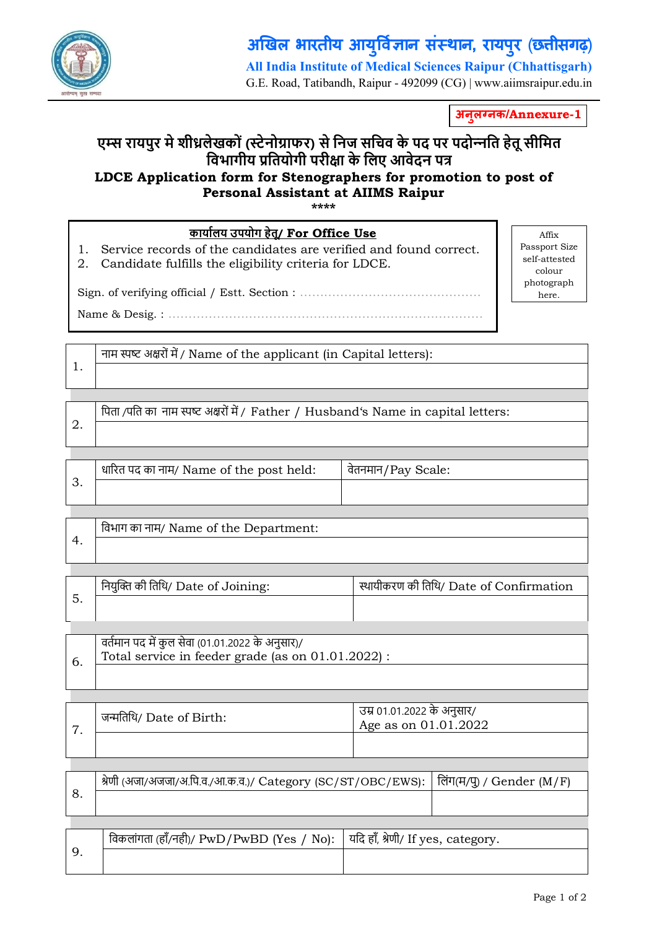

1.

#### **अखल भारतीय आय वान संथान, रायपरु** (**छीसगढ़**) **ु All India Institute of Medical Sciences Raipur (Chhattisgarh)**

G.E. Road, Tatibandh, Raipur - 492099 (CG) | www.aiimsraipur.edu.in

**अनल न ु क/Annexure-1**

## **ए स रायपुर मे शीलेखकों ( टेनोाफर) से िनज सिचव के पद पर पदो नित हेतू सीिमत िवभागीय ितयोगी परीा के िलए आवेदन प LDCE Application form for Stenographers for promotion to post of Personal Assistant at AIIMS Raipur**

**\*\*\*\***

| <u>कार्यालय उपयोग हेतू/ For Office Use</u>                                                                                       |            |
|----------------------------------------------------------------------------------------------------------------------------------|------------|
| 1. Service records of the candidates are verified and found correct.<br>2. Candidate fulfills the eligibility criteria for LDCE. | Pas<br>sel |
|                                                                                                                                  | ph         |

Affix sport Size lf-attested colour photograph here.

नाम स्पष्ट अक्षरों में / Name of the applicant (in Capital letters):

Name & Desig. : ………………..………………………………….………………

| पिता /पति का नाम स्पष्ट अक्षरों में / Father / Husband's Name in capital letters:

|  | धारित पद का नाम/ Name of the post held: | वेतनमान/Pay Scale: |
|--|-----------------------------------------|--------------------|
|  |                                         |                    |
|  |                                         |                    |

| विभाग का नाम/ Name of the Department: |
|---------------------------------------|
|                                       |

| नियुक्ति की तिथि/ Date of Joining: | स्थायीकरण की तिथि/ Date of Confirmation |
|------------------------------------|-----------------------------------------|
|                                    |                                         |

| , वर्तमान पद में कुल सेवा (01.01.2022 के अनुसार)/<br>Total service in feeder grade (as on 01.01.2022) : |
|---------------------------------------------------------------------------------------------------------|
|                                                                                                         |
|                                                                                                         |

| $\overline{ }$ | जन्मतिथि/ Date of Birth: | उम्र 01.01.2022 के अनुसार/<br>Age as on 01.01.2022 |
|----------------|--------------------------|----------------------------------------------------|
|                |                          |                                                    |

| श्रेणी (अजा/अजजा/अ.पि.व./आ.क.व.)/ Category (SC/ST/OBC/EWS):   लिंग(म/पु) / Gender (M/F) |  |
|-----------------------------------------------------------------------------------------|--|
|                                                                                         |  |
|                                                                                         |  |
| r din n<br>_ _ _ _ _ _ _ _ _                                                            |  |

| विकलांगता (हाँ/नहीं)/ PwD/PwBD (Yes / No):   यदि हाँ, श्रेणी/ If yes, category. |  |
|---------------------------------------------------------------------------------|--|
|                                                                                 |  |